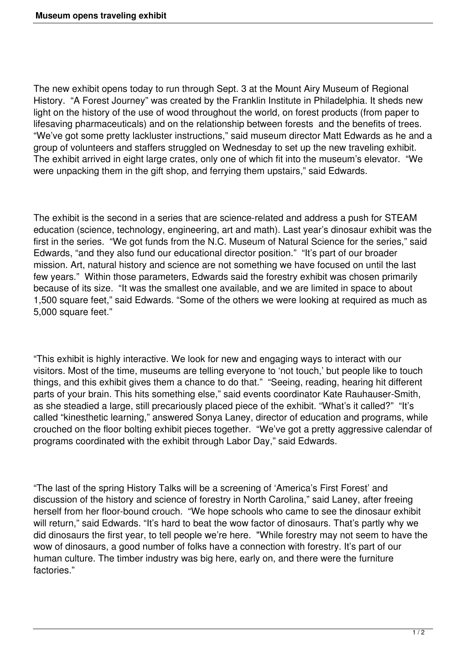The new exhibit opens today to run through Sept. 3 at the Mount Airy Museum of Regional History. "A Forest Journey" was created by the Franklin Institute in Philadelphia. It sheds new light on the history of the use of wood throughout the world, on forest products (from paper to lifesaving pharmaceuticals) and on the relationship between forests and the benefits of trees. "We've got some pretty lackluster instructions," said museum director Matt Edwards as he and a group of volunteers and staffers struggled on Wednesday to set up the new traveling exhibit. The exhibit arrived in eight large crates, only one of which fit into the museum's elevator. "We were unpacking them in the gift shop, and ferrying them upstairs," said Edwards.

The exhibit is the second in a series that are science-related and address a push for STEAM education (science, technology, engineering, art and math). Last year's dinosaur exhibit was the first in the series. "We got funds from the N.C. Museum of Natural Science for the series," said Edwards, "and they also fund our educational director position." "It's part of our broader mission. Art, natural history and science are not something we have focused on until the last few years." Within those parameters, Edwards said the forestry exhibit was chosen primarily because of its size. "It was the smallest one available, and we are limited in space to about 1,500 square feet," said Edwards. "Some of the others we were looking at required as much as 5,000 square feet."

"This exhibit is highly interactive. We look for new and engaging ways to interact with our visitors. Most of the time, museums are telling everyone to 'not touch,' but people like to touch things, and this exhibit gives them a chance to do that." "Seeing, reading, hearing hit different parts of your brain. This hits something else," said events coordinator Kate Rauhauser-Smith, as she steadied a large, still precariously placed piece of the exhibit. "What's it called?" "It's called "kinesthetic learning," answered Sonya Laney, director of education and programs, while crouched on the floor bolting exhibit pieces together. "We've got a pretty aggressive calendar of programs coordinated with the exhibit through Labor Day," said Edwards.

"The last of the spring History Talks will be a screening of 'America's First Forest' and discussion of the history and science of forestry in North Carolina," said Laney, after freeing herself from her floor-bound crouch. "We hope schools who came to see the dinosaur exhibit will return," said Edwards. "It's hard to beat the wow factor of dinosaurs. That's partly why we did dinosaurs the first year, to tell people we're here. "While forestry may not seem to have the wow of dinosaurs, a good number of folks have a connection with forestry. It's part of our human culture. The timber industry was big here, early on, and there were the furniture factories."